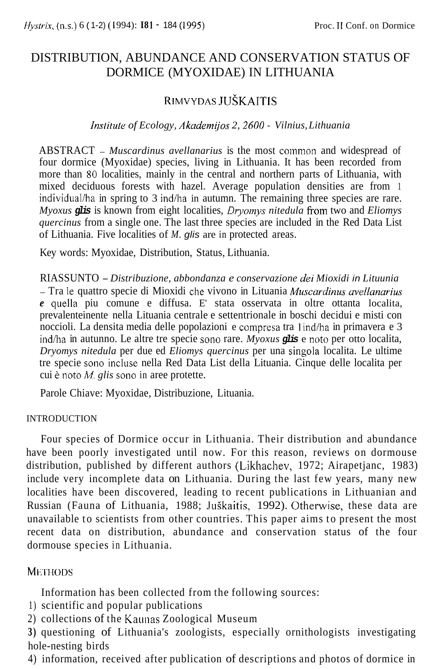# DISTRIBUTION, ABUNDANCE AND CONSERVATION STATUS OF DORMICE (MYOXIDAE) IN LITHUANIA

## RIMVYDAS JUSKAITIS

#### *Inslilule of Ecology, Akademijos 2, 2600* - *Vilnius, Lithuania*

ABSTRACT - *Muscardinus avellanarius* is the most common and widespread of four dormice (Myoxidae) species, living in Lithuania. It has been recorded from more than 80 localities, mainly in the central and northern parts of Lithuania, with mixed deciduous forests with hazel. Average population densities are from 1 individual/ha in spring to 3 ind/ha in autumn. The remaining three species are rare. *Myoxus glis* is known from eight localities, *Dryomys nitedula* from two and *Eliomys quercinus* from a single one. The last three species are included in the Red Data List of Lithuania. Five localities of *M. glis* are in protected areas.

Key words: Myoxidae, Distribution, Status, Lithuania.

RIASSUNTO - *Distribuzione, abbondanza e conservazione dei Mioxidi in Lituunia*  - Tra le quattro specie di Mioxidi che vivono in Lituania *Muscardims uvellunurius e* quella piu comune e diffusa. E' stata osservata in oltre ottanta localita, prevalenteinente nella Lituania centrale e settentrionale in boschi decidui e misti con noccioli. La densita media delle popolazioni e compresa tra lind/ha in primavera e 3 ind/ha in autunno. Le altre tre specie Sono rare. *Myoxus glis* e noto per otto localita, *Dryomys nitedula* per due ed *Eliomys quercinus* per una singola localita. Le ultime tre specie Sono incluse nella Red Data List della Lituania. Cinque delle localita per cui **t:** noto *M. glis* Sono in aree protette.

Parole Chiave: Myoxidae, Distribuzione, Lituania.

#### INTRODUCTION

Four species of Dormice occur in Lithuania. Their distribution and abundance have been poorly investigated until now. For this reason, reviews on dormouse distribution, published by different authors (Likhachev, 1972; Airapetjanc, 1983) include very incomplete data on Lithuania. During the last few years, many new localities have been discovered, leading to recent publications in Lithuanian and Russian (Fauna of Lithuania, 1988; JuSkaitis, 1992). Otherwise, these data are unavailable to scientists from other countries. This paper aims to present the most recent data on distribution, abundance and conservation status of the four dormouse species in Lithuania.

#### **METHODS**

Information has been collected from the following sources:

- 1) scientific and popular publications
- 2) collections of the Kaunas Zoological Museum

**3)** questioning of Lithuania's zoologists, especially ornithologists investigating hole-nesting birds

4) information, received after publication of descriptions and photos of dormice in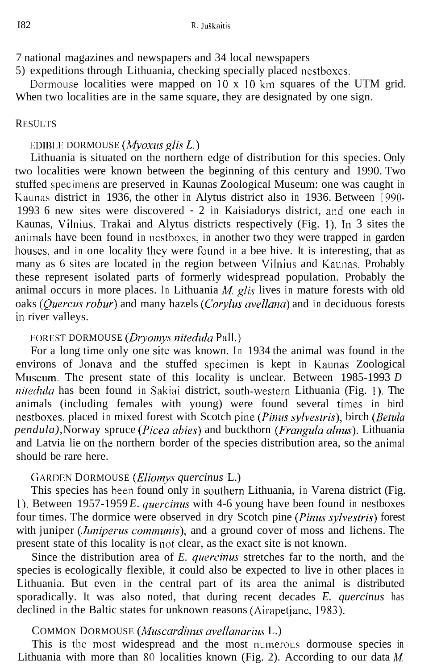7 national magazines and newspapers and 34 local newspapers

5) expeditions through Lithuania, checking specially placed nestboxes.

When two localities are in the same square, they are designated by one sign. Dormouse localities were mapped on  $10 \times 10$  km squares of the UTM grid.

#### RESULTS

#### **EDIBLE DORMOUSE** *(Myoxus glis L.)*

Lithuania is situated on the northern edge of distribution for this species. Only two localities were known between the beginning of this century and 1990. Two stuffed specimens are preserved in Kaunas Zoological Museum: one was caught in Kaunas district in 1936, the other in Alytus district also in 1936. Between 1990- 1993 6 new sites were discovered - 2 in Kaisiadorys district, and one each in Kaunas, Vilnius. Trakai and Alytus districts respectively (Fig. 1). In 3 sites the animals have been found in nestboxes, in another two they were trapped in garden houses, and in one locality they were found in a bee hive. It is interesting, that as many as 6 sites are located in the region between Vilnius and Kaunas. Probably these represent isolated parts of formerly widespread population. Probably the animal occurs in more places. In Lithuania *M glis* lives in mature forests with old oaks *(Quercus robur)* and many hazels *(Corylus avellana)* and in deciduous forests in river valleys.

## I'OREST DORMOUSE *(Dr?yon?ys niteduh* Pall.)

For a long time only one site was known. In 1934 the animal was found in the environs of lonava and the stuffed specimen is kept in Kaunas Zoological Museum. The present state of this locality is unclear. Between 1985-1993 *D nitedula* has been found in Sakiai district, south-western Lithuania (Fig. 1). The animals (including females with young) were found several times in bird nestboxes, placed in mixed forest with Scotch pine *(Pinus sylvestris),* birch *(Betula pendula), Norway spruce (Picea abies)* and buckthorn *(Frangula alnus)*. Lithuania and Latvia lie on the northern border of the species distribution area, so the animal should be rare here.

## GARDEN DORMOUSE *(Eliomys quercinus L.)*

This species has been found only in southern Lithuania, in Varena district (Fig. I). Between 1957-1959 *E. quercinus* with 4-6 young have been found in nestboxes four times. The dormice were observed in dry Scotch pine *(Pinus sylvestris)* forest with juniper *(Juniperus communis)*, and a ground cover of moss and lichens. The present state of this locality is not clear, as the exact site is not known.

Since the distribution area of *E. quercinus* stretches far to the north, and the species is ecologically flexible, it could also be expected to live in other places in Lithuania. But even in the central part of its area the animal is distributed sporadically. It was also noted, that during recent decades *E. quercinus* has declined in the Baltic states for unknown reasons (Airapetjanc, 1983).

## COMMON DORMOUSE *(Muscardinus avellanurius* L.)

This is the most widespread and the most numerous dormouse species in Lithuania with more than 80 localities known (Fig. 2). According to our data *M*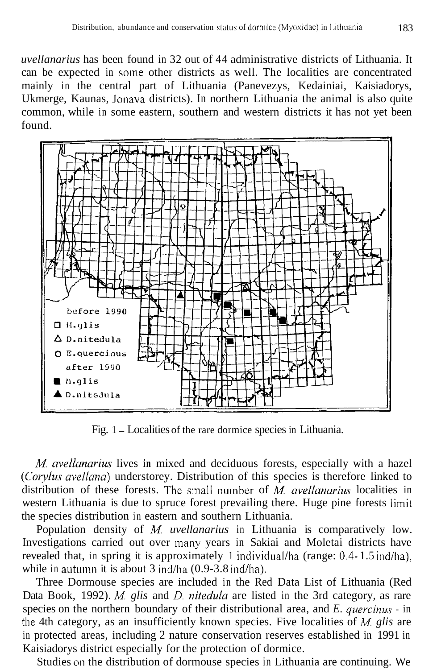*uvellanarius* has been found in 32 out of 44 administrative districts of Lithuania. It can be expected in some other districts as well. The localities are concentrated mainly in the central part of Lithuania (Panevezys, Kedainiai, Kaisiadorys, Ukmerge, Kaunas, Jonava districts). In northern Lithuania the animal is also quite common, while in some eastern, southern and western districts it has not yet been found.



Fig. 1 - Localities of the rare dormice species in Lithuania.

*M avellunarius* lives **in** mixed and deciduous forests, especially with a hazel *(Corylus avellana)* understorey. Distribution of this species is therefore linked to distribution of these forests. The small number of *M avellanarius* localities in western Lithuania is due to spruce forest prevailing there. Huge pine forests limit the species distribution in eastern and southern Lithuania.

Population density of *M uvellanarius* in Lithuania is comparatively low. Investigations carried out over many years in Sakiai and Moletai districts have revealed that, in spring it is approximately 1 individual/ha (range: 0.4- 1.5 ind/ha), while in autumn it is about  $3$  ind/ha (0.9-3.8 ind/ha).

Three Dormouse species are included in the Red Data List of Lithuania (Red Data Book, 1992). *M glis* and *D. nitedula* are listed in the 3rd category, as rare species on the northern boundary of their distributional area, and *E. quercinus* - in the 4th category, as an insufficiently known species. Five localities of *M glis* are in protected areas, including 2 nature conservation reserves established in 1991 in Kaisiadorys district especially for the protection of dormice.

Studies on the distribution of dormouse species in Lithuania are continuing. We